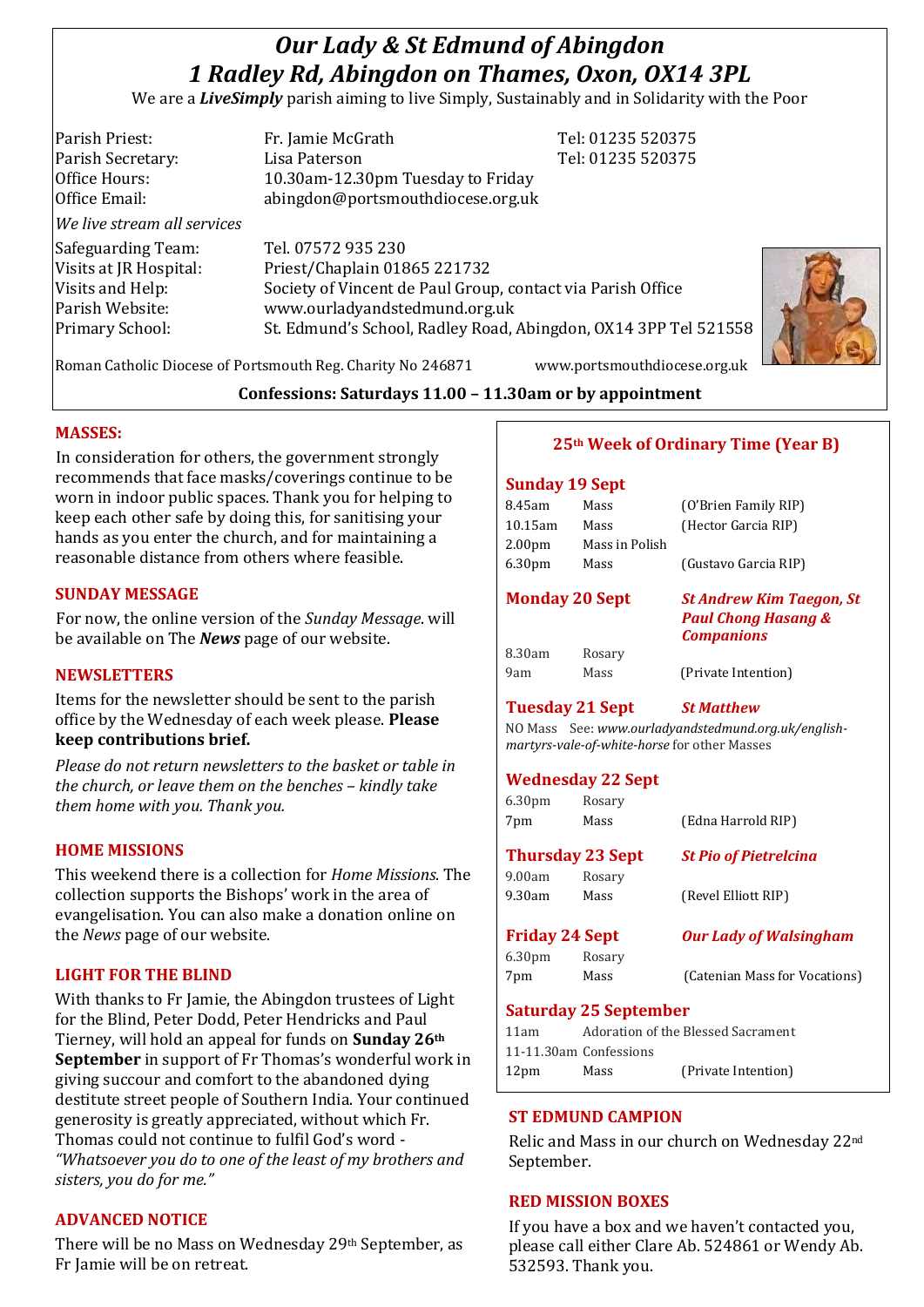# *Our Lady & St Edmund of Abingdon 1 Radley Rd, Abingdon on Thames, Oxon, OX14 3PL*

We are a *LiveSimply* parish aiming to live Simply, Sustainably and in Solidarity with the Poor

| Parish Priest:              | Fr. Jamie McGrath                                               | Tel: 01235 520375 |  |
|-----------------------------|-----------------------------------------------------------------|-------------------|--|
| Parish Secretary:           | Lisa Paterson                                                   | Tel: 01235 520375 |  |
| Office Hours:               | 10.30am-12.30pm Tuesday to Friday                               |                   |  |
| Office Email:               | abingdon@portsmouthdiocese.org.uk                               |                   |  |
| We live stream all services |                                                                 |                   |  |
| Safeguarding Team:          | Tel. 07572 935 230                                              |                   |  |
| Visits at JR Hospital:      | Priest/Chaplain 01865 221732                                    |                   |  |
| Visits and Help:            | Society of Vincent de Paul Group, contact via Parish Office     |                   |  |
| Parish Website:             | www.ourladyandstedmund.org.uk                                   |                   |  |
| Primary School:             | St. Edmund's School, Radley Road, Abingdon, OX14 3PP Tel 521558 |                   |  |
|                             |                                                                 |                   |  |

Roman Catholic Diocese of Portsmouth Reg. Charity No 246871 www.portsmouthdiocese.org.uk

# **Confessions: Saturdays 11.00 – 11.30am or by appointment**

## **MASSES:**

In consideration for others, the government strongly recommends that face masks/coverings continue to be worn in indoor public spaces. Thank you for helping to keep each other safe by doing this, for sanitising your hands as you enter the church, and for maintaining a reasonable distance from others where feasible.

## **SUNDAY MESSAGE**

For now, the online version of the *Sunday Message*. will be available on The *News* page of our website.

## **NEWSLETTERS**

Items for the newsletter should be sent to the parish office by the Wednesday of each week please. **Please keep contributions brief.**

*Please do not return newsletters to the basket or table in the church, or leave them on the benches – kindly take them home with you. Thank you.*

# **HOME MISSIONS**

This weekend there is a collection for *Home Missions*. The collection supports the Bishops' work in the area of evangelisation. You can also make a donation online on the *News* page of our website.

# **LIGHT FOR THE BLIND**

With thanks to Fr Jamie, the Abingdon trustees of Light for the Blind, Peter Dodd, Peter Hendricks and Paul Tierney, will hold an appeal for funds on **Sunday 26th September** in support of Fr Thomas's wonderful work in giving succour and comfort to the abandoned dying destitute street people of Southern India. Your continued generosity is greatly appreciated, without which Fr. Thomas could not continue to fulfil God's word - *"Whatsoever you do to one of the least of my brothers and sisters, you do for me."*

# **ADVANCED NOTICE**

There will be no Mass on Wednesday 29th September, as Fr Jamie will be on retreat.

# **25th Week of Ordinary Time (Year B)**

## **Sunday 19 Sept**

| <b>Tuesday 21 Sept</b> |                    |                | <b>St Matthew</b>                                                                      |
|------------------------|--------------------|----------------|----------------------------------------------------------------------------------------|
|                        | 9am                | Mass           | (Private Intention)                                                                    |
|                        | 8.30am             | Rosary         |                                                                                        |
| <b>Monday 20 Sept</b>  |                    |                | <b>St Andrew Kim Taegon, St</b><br><b>Paul Chong Hasang &amp;</b><br><b>Companions</b> |
|                        | 6.30 <sub>pm</sub> | Mass           | (Gustavo Garcia RIP)                                                                   |
|                        | 2.00 <sub>pm</sub> | Mass in Polish |                                                                                        |
|                        | $10.15$ am         | Mass           | (Hector Garcia RIP)                                                                    |
|                        | 8.45am             | Mass           | (O'Brien Family RIP)                                                                   |
|                        |                    |                |                                                                                        |

NO Mass See: *www.ourladyandstedmund.org.uk/englishmartyrs-vale-of-white-horse* for other Masses

# **Wednesday 22 Sept**

| 6.30 <sub>pm</sub>           | Rosary |                               |  |  |
|------------------------------|--------|-------------------------------|--|--|
| 7pm                          | Mass   | (Edna Harrold RIP)            |  |  |
| <b>Thursday 23 Sept</b>      |        | <b>St Pio of Pietrelcina</b>  |  |  |
| 9.00am                       | Rosary |                               |  |  |
| $9.30$ am                    | Mass   | (Revel Elliott RIP)           |  |  |
| <b>Friday 24 Sept</b>        |        | <b>Our Lady of Walsingham</b> |  |  |
| 6.30 <sub>pm</sub>           | Rosary |                               |  |  |
| 7pm                          | Mass   | (Catenian Mass for Vocations) |  |  |
| <b>Saturday 25 September</b> |        |                               |  |  |

| 11am                   |      | Adoration of the Blessed Sacrament |
|------------------------|------|------------------------------------|
| 11-11.30am Confessions |      |                                    |
| 12 <sub>pm</sub>       | Mass | (Private Intention)                |

# **ST EDMUND CAMPION**

Relic and Mass in our church on Wednesday 22nd September.

# **RED MISSION BOXES**

If you have a box and we haven't contacted you, please call either Clare Ab. 524861 or Wendy Ab. 532593. Thank you.